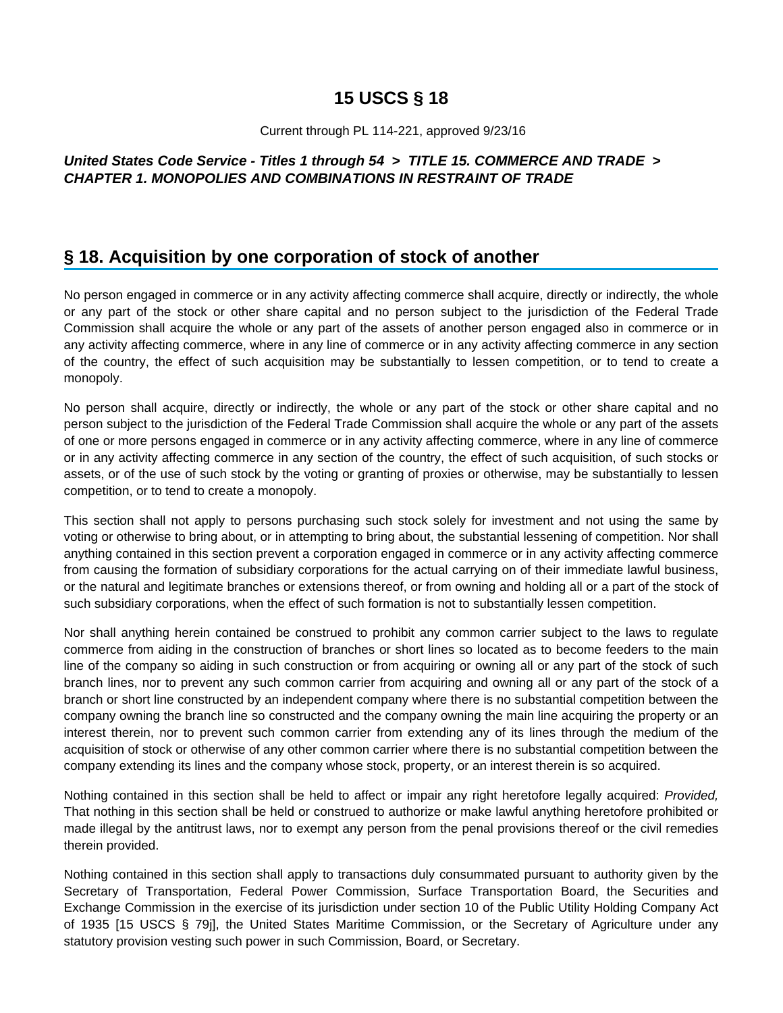# **15 USCS § 18**

#### Current through PL 114-221, approved 9/23/16

### **United States Code Service - Titles 1 through 54 > TITLE 15. COMMERCE AND TRADE > CHAPTER 1. MONOPOLIES AND COMBINATIONS IN RESTRAINT OF TRADE**

## **§ 18. Acquisition by one corporation of stock of another**

No person engaged in commerce or in any activity affecting commerce shall acquire, directly or indirectly, the whole or any part of the stock or other share capital and no person subject to the jurisdiction of the Federal Trade Commission shall acquire the whole or any part of the assets of another person engaged also in commerce or in any activity affecting commerce, where in any line of commerce or in any activity affecting commerce in any section of the country, the effect of such acquisition may be substantially to lessen competition, or to tend to create a monopoly.

No person shall acquire, directly or indirectly, the whole or any part of the stock or other share capital and no person subject to the jurisdiction of the Federal Trade Commission shall acquire the whole or any part of the assets of one or more persons engaged in commerce or in any activity affecting commerce, where in any line of commerce or in any activity affecting commerce in any section of the country, the effect of such acquisition, of such stocks or assets, or of the use of such stock by the voting or granting of proxies or otherwise, may be substantially to lessen competition, or to tend to create a monopoly.

This section shall not apply to persons purchasing such stock solely for investment and not using the same by voting or otherwise to bring about, or in attempting to bring about, the substantial lessening of competition. Nor shall anything contained in this section prevent a corporation engaged in commerce or in any activity affecting commerce from causing the formation of subsidiary corporations for the actual carrying on of their immediate lawful business, or the natural and legitimate branches or extensions thereof, or from owning and holding all or a part of the stock of such subsidiary corporations, when the effect of such formation is not to substantially lessen competition.

Nor shall anything herein contained be construed to prohibit any common carrier subject to the laws to regulate commerce from aiding in the construction of branches or short lines so located as to become feeders to the main line of the company so aiding in such construction or from acquiring or owning all or any part of the stock of such branch lines, nor to prevent any such common carrier from acquiring and owning all or any part of the stock of a branch or short line constructed by an independent company where there is no substantial competition between the company owning the branch line so constructed and the company owning the main line acquiring the property or an interest therein, nor to prevent such common carrier from extending any of its lines through the medium of the acquisition of stock or otherwise of any other common carrier where there is no substantial competition between the company extending its lines and the company whose stock, property, or an interest therein is so acquired.

Nothing contained in this section shall be held to affect or impair any right heretofore legally acquired: Provided, That nothing in this section shall be held or construed to authorize or make lawful anything heretofore prohibited or made illegal by the antitrust laws, nor to exempt any person from the penal provisions thereof or the civil remedies therein provided.

Nothing contained in this section shall apply to transactions duly consummated pursuant to authority given by the Secretary of Transportation, Federal Power Commission, Surface Transportation Board, the Securities and Exchange Commission in the exercise of its jurisdiction under section 10 of the Public Utility Holding Company Act of 1935 [15 USCS § 79j], the United States Maritime Commission, or the Secretary of Agriculture under any statutory provision vesting such power in such Commission, Board, or Secretary.